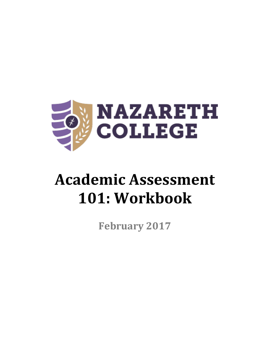

# Academic Assessment **101: Workbook**

**February 2017**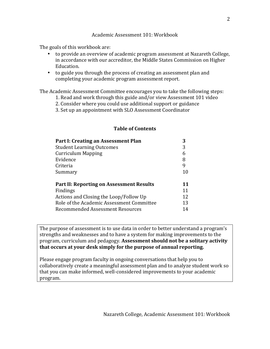#### Academic Assessment 101: Workbook

The goals of this workbook are:

- to provide an overview of academic program assessment at Nazareth College, in accordance with our accreditor, the Middle States Commission on Higher Education.
- to guide you through the process of creating an assessment plan and completing your academic program assessment report.

The Academic Assessment Committee encourages you to take the following steps:

- 1. Read and work through this guide and/or view Assessment 101 video
- 2. Consider where you could use additional support or guidance
- 3. Set up an appointment with SLO Assessment Coordinator

| Part I: Creating an Assessment Plan             | 3  |
|-------------------------------------------------|----|
| <b>Student Learning Outcomes</b>                | 3  |
| <b>Curriculum Mapping</b>                       | 6  |
| Evidence                                        | 8  |
| Criteria                                        | 9  |
| Summary                                         | 10 |
|                                                 |    |
| <b>Part II: Reporting on Assessment Results</b> | 11 |
| Findings                                        | 11 |
| Actions and Closing the Loop/Follow Up          | 12 |
| Role of the Academic Assessment Committee       | 13 |
| <b>Recommended Assessment Resources</b>         | 14 |

#### **Table of Contents**

The purpose of assessment is to use data in order to better understand a program's strengths and weaknesses and to have a system for making improvements to the program, curriculum and pedagogy. **Assessment should not be a solitary activity** that occurs at your desk simply for the purpose of annual reporting.

Please engage program faculty in ongoing conversations that help you to collaboratively create a meaningful assessment plan and to analyze student work so that you can make informed, well-considered improvements to your academic program.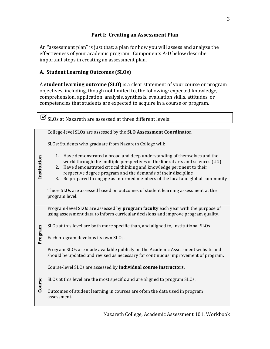## **Part I: Creating an Assessment Plan**

An "assessment plan" is just that: a plan for how you will assess and analyze the effectiveness of your academic program. Components A-D below describe important steps in creating an assessment plan.

# **A. Student Learning Outcomes (SLOs)**

A **student learning outcome (SLO)** is a clear statement of your course or program objectives, including, though not limited to, the following: expected knowledge, comprehension, application, analysis, synthesis, evaluation skills, attitudes, or competencies that students are expected to acquire in a course or program.

| $\mathbf{F}$ SLOs at Nazareth are assessed at three different levels: |  |
|-----------------------------------------------------------------------|--|
|                                                                       |  |

| College-level SLOs are assessed by the SLO Assessment Coordinator.                                                                                                                                                                                                                                                                                                                                                                                                                            |  |  |  |  |
|-----------------------------------------------------------------------------------------------------------------------------------------------------------------------------------------------------------------------------------------------------------------------------------------------------------------------------------------------------------------------------------------------------------------------------------------------------------------------------------------------|--|--|--|--|
| SLOs: Students who graduate from Nazareth College will:                                                                                                                                                                                                                                                                                                                                                                                                                                       |  |  |  |  |
| 1. Have demonstrated a broad and deep understanding of themselves and the<br>world through the multiple perspectives of the liberal arts and sciences (UG)<br>2. Have demonstrated critical thinking and knowledge pertinent to their<br>respective degree program and the demands of their discipline<br>3. Be prepared to engage as informed members of the local and global community<br>These SLOs are assessed based on outcomes of student learning assessment at the<br>program level. |  |  |  |  |
| Program-level SLOs are assessed by <b>program faculty</b> each year with the purpose of<br>using assessment data to inform curricular decisions and improve program quality.                                                                                                                                                                                                                                                                                                                  |  |  |  |  |
| SLOs at this level are both more specific than, and aligned to, institutional SLOs.<br>Each program develops its own SLOs.                                                                                                                                                                                                                                                                                                                                                                    |  |  |  |  |
| Program SLOs are made available publicly on the Academic Assessment website and<br>should be updated and revised as necessary for continuous improvement of program.                                                                                                                                                                                                                                                                                                                          |  |  |  |  |
| Course-level SLOs are assessed by individual course instructors.                                                                                                                                                                                                                                                                                                                                                                                                                              |  |  |  |  |
| SLOs at this level are the most specific and are aligned to program SLOs.                                                                                                                                                                                                                                                                                                                                                                                                                     |  |  |  |  |
| Outcomes of student learning in courses are often the data used in program<br>assessment.                                                                                                                                                                                                                                                                                                                                                                                                     |  |  |  |  |
|                                                                                                                                                                                                                                                                                                                                                                                                                                                                                               |  |  |  |  |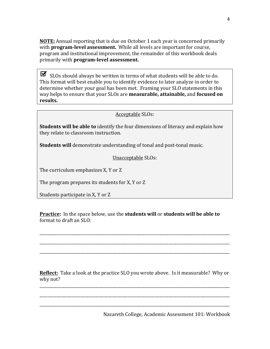**NOTE:** Annual reporting that is due on October 1 each year is concerned primarily with **program-level assessment.** While all levels are important for course, program and institutional improvement, the remainder of this workbook deals primarily with **program-level assessment.**

 $\triangleright$  SLOs should always be written in terms of what students will be able to do. This format will best enable you to identify evidence to later analyze in order to determine whether your goal has been met. Framing your SLO statements in this way helps to ensure that your SLOs are **measurable, attainable,** and **focused on results.**

#### Acceptable SLOs:

**Students will be able to** identify the four dimensions of literacy and explain how they relate to classroom instruction.

**Students will** demonstrate understanding of tonal and post-tonal music.

Unacceptable SLOs:

The curriculum emphasizes  $X$ ,  $Y$  or  $Z$ 

The program prepares its students for  $X$ ,  $Y$  or  $Z$ 

Students participate in X, Y or Z

**Practice:** In the space below, use the **students will** or **students will be able to** format to draft an SLO:

\_\_\_\_\_\_\_\_\_\_\_\_\_\_\_\_\_\_\_\_\_\_\_\_\_\_\_\_\_\_\_\_\_\_\_\_\_\_\_\_\_\_\_\_\_\_\_\_\_\_\_\_\_\_\_\_\_\_\_\_\_\_\_\_\_\_\_\_\_\_\_\_\_\_\_\_\_\_\_\_\_\_\_\_\_\_\_\_\_\_\_\_\_\_\_\_\_

\_\_\_\_\_\_\_\_\_\_\_\_\_\_\_\_\_\_\_\_\_\_\_\_\_\_\_\_\_\_\_\_\_\_\_\_\_\_\_\_\_\_\_\_\_\_\_\_\_\_\_\_\_\_\_\_\_\_\_\_\_\_\_\_\_\_\_\_\_\_\_\_\_\_\_\_\_\_\_\_\_\_\_\_\_\_\_\_\_\_\_\_\_\_\_\_\_

\_\_\_\_\_\_\_\_\_\_\_\_\_\_\_\_\_\_\_\_\_\_\_\_\_\_\_\_\_\_\_\_\_\_\_\_\_\_\_\_\_\_\_\_\_\_\_\_\_\_\_\_\_\_\_\_\_\_\_\_\_\_\_\_\_\_\_\_\_\_\_\_\_\_\_\_\_\_\_\_\_\_\_\_\_\_\_\_\_\_\_\_\_\_\_\_\_

**Reflect:** Take a look at the practice SLO you wrote above. Is it measurable? Why or why not?

\_\_\_\_\_\_\_\_\_\_\_\_\_\_\_\_\_\_\_\_\_\_\_\_\_\_\_\_\_\_\_\_\_\_\_\_\_\_\_\_\_\_\_\_\_\_\_\_\_\_\_\_\_\_\_\_\_\_\_\_\_\_\_\_\_\_\_\_\_\_\_\_\_\_\_\_\_\_\_\_\_\_\_\_\_\_\_\_\_\_\_\_\_\_\_\_\_

\_\_\_\_\_\_\_\_\_\_\_\_\_\_\_\_\_\_\_\_\_\_\_\_\_\_\_\_\_\_\_\_\_\_\_\_\_\_\_\_\_\_\_\_\_\_\_\_\_\_\_\_\_\_\_\_\_\_\_\_\_\_\_\_\_\_\_\_\_\_\_\_\_\_\_\_\_\_\_\_\_\_\_\_\_\_\_\_\_\_\_\_\_\_\_\_\_

\_\_\_\_\_\_\_\_\_\_\_\_\_\_\_\_\_\_\_\_\_\_\_\_\_\_\_\_\_\_\_\_\_\_\_\_\_\_\_\_\_\_\_\_\_\_\_\_\_\_\_\_\_\_\_\_\_\_\_\_\_\_\_\_\_\_\_\_\_\_\_\_\_\_\_\_\_\_\_\_\_\_\_\_\_\_\_\_\_\_\_\_\_\_\_\_\_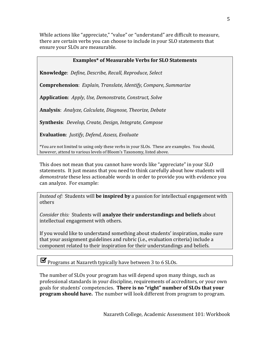While actions like "appreciate," "value" or "understand" are difficult to measure, there are certain verbs you can choose to include in your SLO statements that ensure your SLOs are measurable.

## **Examples\*** of Measurable Verbs for SLO Statements

**Knowledge**: *Define, Describe, Recall, Reproduce, Select*

**Comprehension**: *Explain, Translate, Identify, Compare, Summarize* 

**Application**: *Apply, Use, Demonstrate, Construct, Solve*

Analysis: Analyze, Calculate, Diagnose, Theorize, Debate

**Synthesis**: *Develop, Create, Design, Integrate, Compose* 

**Evaluation**: *Justify, Defend, Assess, Evaluate* 

\*You are not limited to using only these verbs in your SLOs. These are examples. You should, however, attend to various levels of Bloom's Taxonomy, listed above.

This does not mean that you cannot have words like "appreciate" in your SLO statements. It just means that you need to think carefully about how students will demonstrate these less actionable words in order to provide you with evidence you can analyze. For example:

*Instead of:* Students will **be inspired by** a passion for intellectual engagement with others

*Consider this:* Students will **analyze their understandings and beliefs** about intellectual engagement with others.

If you would like to understand something about students' inspiration, make sure that your assignment guidelines and rubric (i.e., evaluation criteria) include a component related to their inspiration for their understandings and beliefs.

**Programs at Nazareth typically have between** 3 to 6 SLOs.

The number of SLOs your program has will depend upon many things, such as professional standards in your discipline, requirements of accreditors, or vour own goals for students' competencies. **There is no "right" number of SLOs that your program should have.** The number will look different from program to program.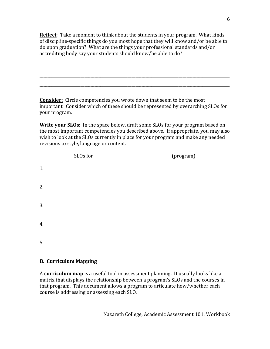**Reflect**: Take a moment to think about the students in your program. What kinds of discipline-specific things do you most hope that they will know and/or be able to do upon graduation? What are the things your professional standards and/or accrediting body say your students should know/be able to do?

\_\_\_\_\_\_\_\_\_\_\_\_\_\_\_\_\_\_\_\_\_\_\_\_\_\_\_\_\_\_\_\_\_\_\_\_\_\_\_\_\_\_\_\_\_\_\_\_\_\_\_\_\_\_\_\_\_\_\_\_\_\_\_\_\_\_\_\_\_\_\_\_\_\_\_\_\_\_\_\_\_\_\_\_\_\_\_\_\_\_\_\_\_\_\_\_\_

\_\_\_\_\_\_\_\_\_\_\_\_\_\_\_\_\_\_\_\_\_\_\_\_\_\_\_\_\_\_\_\_\_\_\_\_\_\_\_\_\_\_\_\_\_\_\_\_\_\_\_\_\_\_\_\_\_\_\_\_\_\_\_\_\_\_\_\_\_\_\_\_\_\_\_\_\_\_\_\_\_\_\_\_\_\_\_\_\_\_\_\_\_\_\_\_\_

\_\_\_\_\_\_\_\_\_\_\_\_\_\_\_\_\_\_\_\_\_\_\_\_\_\_\_\_\_\_\_\_\_\_\_\_\_\_\_\_\_\_\_\_\_\_\_\_\_\_\_\_\_\_\_\_\_\_\_\_\_\_\_\_\_\_\_\_\_\_\_\_\_\_\_\_\_\_\_\_\_\_\_\_\_\_\_\_\_\_\_\_\_\_\_\_\_

**Consider:** Circle competencies you wrote down that seem to be the most important. Consider which of these should be represented by overarching SLOs for your program.

**Write your SLOs:** In the space below, draft some SLOs for your program based on the most important competencies you described above. If appropriate, you may also wish to look at the SLOs currently in place for your program and make any needed revisions to style, language or content.

|    | SLOs for | (program) |
|----|----------|-----------|
| 1. |          |           |
| 2. |          |           |
| 3. |          |           |
| 4. |          |           |
| 5. |          |           |

## **B. Curriculum Mapping**

A **curriculum map** is a useful tool in assessment planning. It usually looks like a matrix that displays the relationship between a program's SLOs and the courses in that program. This document allows a program to articulate how/whether each course is addressing or assessing each SLO.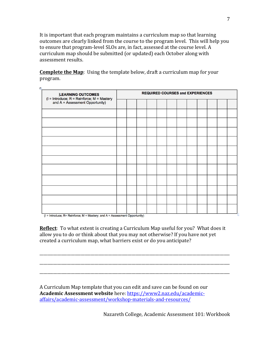It is important that each program maintains a curriculum map so that learning outcomes are clearly linked from the course to the program level. This will help you to ensure that program-level SLOs are, in fact, assessed at the course level. A curriculum map should be submitted (or updated) each October along with assessment results.

**Complete the Map**: Using the template below, draft a curriculum map for your program. 

| LEARNING OUTCOMES<br>  = Introduce; R = Reinforce; M = Mastery<br>  and A = Assessment Opportunity |  | <b>REQUIRED COURSES and EXPERIENCES</b> |  |  |  |  |  |  |  |
|----------------------------------------------------------------------------------------------------|--|-----------------------------------------|--|--|--|--|--|--|--|
|                                                                                                    |  |                                         |  |  |  |  |  |  |  |
|                                                                                                    |  |                                         |  |  |  |  |  |  |  |
|                                                                                                    |  |                                         |  |  |  |  |  |  |  |
|                                                                                                    |  |                                         |  |  |  |  |  |  |  |
|                                                                                                    |  |                                         |  |  |  |  |  |  |  |
|                                                                                                    |  |                                         |  |  |  |  |  |  |  |
|                                                                                                    |  |                                         |  |  |  |  |  |  |  |
|                                                                                                    |  |                                         |  |  |  |  |  |  |  |
|                                                                                                    |  |                                         |  |  |  |  |  |  |  |
|                                                                                                    |  |                                         |  |  |  |  |  |  |  |
|                                                                                                    |  |                                         |  |  |  |  |  |  |  |
|                                                                                                    |  |                                         |  |  |  |  |  |  |  |

 $(I = Introduce; R = Reinforce; M = Mastery; and A = Assessment Opportunity)$ 

ž.

**Reflect**: To what extent is creating a Curriculum Map useful for you? What does it allow you to do or think about that you may not otherwise? If you have not yet created a curriculum map, what barriers exist or do you anticipate?

\_\_\_\_\_\_\_\_\_\_\_\_\_\_\_\_\_\_\_\_\_\_\_\_\_\_\_\_\_\_\_\_\_\_\_\_\_\_\_\_\_\_\_\_\_\_\_\_\_\_\_\_\_\_\_\_\_\_\_\_\_\_\_\_\_\_\_\_\_\_\_\_\_\_\_\_\_\_\_\_\_\_\_\_\_\_\_\_\_\_\_\_\_\_\_\_\_

\_\_\_\_\_\_\_\_\_\_\_\_\_\_\_\_\_\_\_\_\_\_\_\_\_\_\_\_\_\_\_\_\_\_\_\_\_\_\_\_\_\_\_\_\_\_\_\_\_\_\_\_\_\_\_\_\_\_\_\_\_\_\_\_\_\_\_\_\_\_\_\_\_\_\_\_\_\_\_\_\_\_\_\_\_\_\_\_\_\_\_\_\_\_\_\_\_

\_\_\_\_\_\_\_\_\_\_\_\_\_\_\_\_\_\_\_\_\_\_\_\_\_\_\_\_\_\_\_\_\_\_\_\_\_\_\_\_\_\_\_\_\_\_\_\_\_\_\_\_\_\_\_\_\_\_\_\_\_\_\_\_\_\_\_\_\_\_\_\_\_\_\_\_\_\_\_\_\_\_\_\_\_\_\_\_\_\_\_\_\_\_\_\_\_

A Curriculum Map template that you can edit and save can be found on our **Academic Assessment website** here: https://www2.naz.edu/academicaffairs/academic-assessment/workshop-materials-and-resources/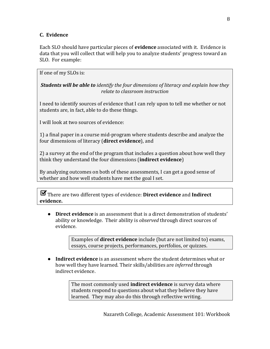# **C. Evidence**

Each SLO should have particular pieces of **evidence** associated with it. Evidence is data that you will collect that will help you to analyze students' progress toward an SLO. For example:

If one of my SLOs is:

*Students will be able to identify the four dimensions of literacy and explain how they relate to classroom instruction*

I need to identify sources of evidence that I can rely upon to tell me whether or not students are, in fact, able to do these things.

I will look at two sources of evidence:

1) a final paper in a course mid-program where students describe and analyze the four dimensions of literacy (**direct evidence**), and

2) a survey at the end of the program that includes a question about how well they think they understand the four dimensions (**indirect evidence**)

By analyzing outcomes on both of these assessments, I can get a good sense of whether and how well students have met the goal I set.

 $\blacktriangleright$  There are two different types of evidence: **Direct evidence** and **Indirect** evidence.

• **Direct evidence** is an assessment that is a direct demonstration of students' ability or knowledge. Their ability is *observed* through direct sources of evidence. 

> Examples of **direct evidence** include (but are not limited to) exams, essays, course projects, performances, portfolios, or quizzes.

• Indirect evidence is an assessment where the student determines what or how well they have learned. Their skills/abilities are *inferred* through indirect evidence.

> The most commonly used **indirect evidence** is survey data where students respond to questions about what they believe they have learned. They may also do this through reflective writing.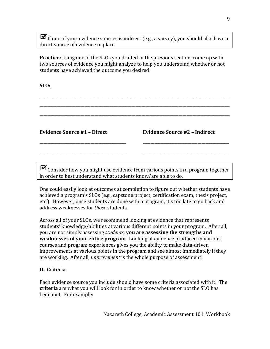$\blacktriangleright$  If one of your evidence sources is indirect (e.g., a survey), you should also have a direct source of evidence in place.

**Practice:** Using one of the SLOs you drafted in the previous section, come up with two sources of evidence you might analyze to help you understand whether or not students have achieved the outcome you desired:

\_\_\_\_\_\_\_\_\_\_\_\_\_\_\_\_\_\_\_\_\_\_\_\_\_\_\_\_\_\_\_\_\_\_\_\_\_\_\_\_\_\_\_\_\_\_\_\_\_\_\_\_\_\_\_\_\_\_\_\_\_\_\_\_\_\_\_\_\_\_\_\_\_\_\_\_\_\_\_\_\_\_\_\_\_\_\_\_\_\_\_\_\_\_\_\_\_

\_\_\_\_\_\_\_\_\_\_\_\_\_\_\_\_\_\_\_\_\_\_\_\_\_\_\_\_\_\_\_\_\_\_\_\_\_\_\_\_\_\_\_\_\_\_\_\_\_\_\_\_\_\_\_\_\_\_\_\_\_\_\_\_\_\_\_\_\_\_\_\_\_\_\_\_\_\_\_\_\_\_\_\_\_\_\_\_\_\_\_\_\_\_\_\_\_

\_\_\_\_\_\_\_\_\_\_\_\_\_\_\_\_\_\_\_\_\_\_\_\_\_\_\_\_\_\_\_\_\_\_\_\_\_\_\_\_\_\_\_\_\_\_\_\_\_\_\_\_\_\_\_\_\_\_\_\_\_\_\_\_\_\_\_\_\_\_\_\_\_\_\_\_\_\_\_\_\_\_\_\_\_\_\_\_\_\_\_\_\_\_\_\_\_

**SLO:**

**Evidence Source #1 – Direct**

\_\_\_\_\_\_\_\_\_\_\_\_\_\_\_\_\_\_\_\_\_\_\_\_\_\_\_\_\_\_\_\_\_\_\_\_\_\_\_\_\_\_\_\_

\_\_\_\_\_\_\_\_\_\_\_\_\_\_\_\_\_\_\_\_\_\_\_\_\_\_\_\_\_\_\_\_\_\_\_\_\_\_\_\_\_\_\_\_

| <b>Evidence Source #2 - Indirect</b> |  |  |  |
|--------------------------------------|--|--|--|
|--------------------------------------|--|--|--|

\_\_\_\_\_\_\_\_\_\_\_\_\_\_\_\_\_\_\_\_\_\_\_\_\_\_\_\_\_\_\_\_\_\_\_\_\_\_\_\_\_\_\_\_

\_\_\_\_\_\_\_\_\_\_\_\_\_\_\_\_\_\_\_\_\_\_\_\_\_\_\_\_\_\_\_\_\_\_\_\_\_\_\_\_\_\_\_\_

 $\blacktriangleright$  Consider how you might use evidence from various points in a program together in order to best understand what students know/are able to do.

One could easily look at outcomes at completion to figure out whether students have achieved a program's SLOs (e.g., capstone project, certification exam, thesis project, etc.). However, once students are done with a program, it's too late to go back and address weaknesses for *those* students.

Across all of your SLOs, we recommend looking at evidence that represents students' knowledge/abilities at various different points in your program. After all, you are not simply assessing *students*, **you are assessing the strengths and weaknesses of your entire program**. Looking at evidence produced in various courses and program experiences gives you the ability to make data-driven improvements at various points in the program and see almost immediately if they are working. After all, *improvement* is the whole purpose of assessment!

## **D. Criteria**

Each evidence source you include should have some criteria associated with it. The **criteria** are what you will look for in order to know whether or not the SLO has been met. For example: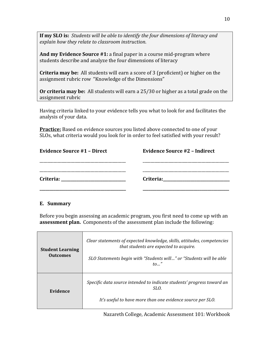**If my SLO** is: Students will be able to identify the four dimensions of literacy and *explain how they relate to classroom instruction*.

**And my Evidence Source #1:** a final paper in a course mid-program where students describe and analyze the four dimensions of literacy

**Criteria may be:** All students will earn a score of 3 (proficient) or higher on the assignment rubric row "Knowledge of the Dimensions"

**Or criteria may be:** All students will earn a 25/30 or higher as a total grade on the assignment rubric

Having criteria linked to your evidence tells you what to look for and facilitates the analysis of your data.

**Practice:** Based on evidence sources you listed above connected to one of your SLOs, what criteria would you look for in order to feel satisfied with your result?

| <b>Evidence Source #1 - Direct</b> | <b>Evidence Source #2 - Indirect</b>                                                                            |
|------------------------------------|-----------------------------------------------------------------------------------------------------------------|
|                                    |                                                                                                                 |
|                                    | Criteria: 2008 and 2010 and 2010 and 2010 and 2010 and 2010 and 2010 and 2010 and 2010 and 2010 and 2010 and 20 |
|                                    |                                                                                                                 |

#### **E. Summary**

Before you begin assessing an academic program, you first need to come up with an **assessment plan.** Components of the assessment plan include the following: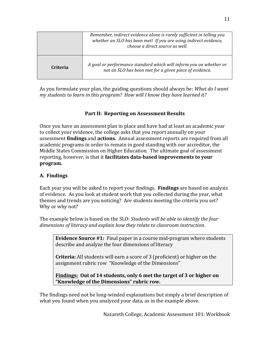|                 | Remember, indirect evidence alone is rarely sufficient in telling you<br>whether an SLO has been met! If you are using indirect evidence,<br>choose a direct source as well. |
|-----------------|------------------------------------------------------------------------------------------------------------------------------------------------------------------------------|
| <b>Criteria</b> | A goal or performance standard which will inform you on whether or<br>not an SLO has been met for a given piece of evidence.                                                 |

As you formulate your plan, the guiding questions should always be: *What do I want my* students to learn in this program? How will I know they have learned it?

# Part II: Reporting on Assessment Results

Once you have an assessment plan in place and have had at least an academic year to collect your evidence, the college asks that you report annually on your assessment **findings** and **actions.** Annual assessment reports are required from all academic programs in order to remain in good standing with our accreditor, the Middle States Commission on Higher Education. The ultimate goal of assessment reporting, however, is that it **facilitates data-based improvements to your program.**

# **A. Findings**

Each year you will be asked to report your findings. **Findings** are based on analysis of evidence. As you look at student work that you collected during the year, what themes and trends are you noticing? Are students meeting the criteria you set? Why or why not?

The example below is based on the SLO: *Students will be able to identify the four* dimensions of literacy and explain how they relate to classroom instruction.

**Evidence Source #1:** Final paper in a course mid-program where students describe and analyze the four dimensions of literacy

**Criteria:** All students will earn a score of 3 (proficient) or higher on the assignment rubric row "Knowledge of the Dimensions"

**Findings:** Out of 14 students, only 6 met the target of 3 or higher on "Knowledge of the Dimensions" rubric row.

The findings need not be long-winded explanations but simply a brief description of what you found when you analyzed your data, as in the example above.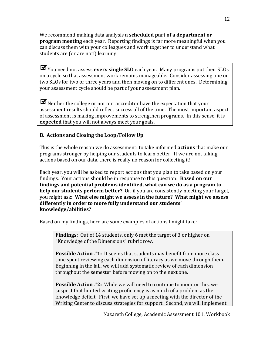We recommend making data analysis **a scheduled part of a department or program meeting** each year. Reporting findings is far more meaningful when you can discuss them with your colleagues and work together to understand what students are (or are not!) learning.

You need not assess **every single SLO** each year. Many programs put their SLOs on a cycle so that assessment work remains manageable. Consider assessing one or two SLOs for two or three years and then moving on to different ones. Determining your assessment cycle should be part of your assessment plan.

 $\blacktriangleright$  Neither the college or nor our accreditor have the expectation that your assessment results should reflect success all of the time. The most important aspect of assessment is making improvements to strengthen programs. In this sense, it is **expected** that you will not always meet your goals.

# **B.** Actions and Closing the Loop/Follow Up

This is the whole reason we do assessment: to take informed **actions** that make our programs stronger by helping our students to learn better. If we are not taking actions based on our data, there is really no reason for collecting it!

Each year, you will be asked to report actions that you plan to take based on your findings. Your actions should be in response to this question: **Based on our** findings and potential problems identified, what can we do as a program to **help our students perform better?** Or, if you are consistently meeting your target, you might ask: What else might we assess in the future? What might we assess differently in order to more fully understand our students' **knowledge/abilities?**

Based on my findings, here are some examples of actions I might take:

**Findings:** Out of 14 students, only 6 met the target of 3 or higher on "Knowledge of the Dimensions" rubric row.

**Possible Action #1:** It seems that students may benefit from more class time spent reviewing each dimension of literacy as we move through them. Beginning in the fall, we will add systematic review of each dimension throughout the semester before moving on to the next one.

**Possible Action #2:** While we will need to continue to monitor this, we suspect that limited writing proficiency is as much of a problem as the knowledge deficit. First, we have set up a meeting with the director of the Writing Center to discuss strategies for support. Second, we will implement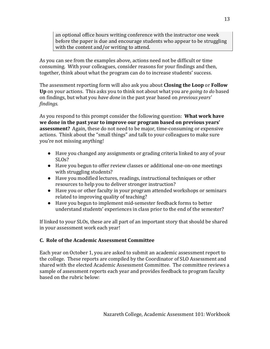an optional office hours writing conference with the instructor one week before the paper is due and encourage students who appear to be struggling with the content and/or writing to attend.

As you can see from the examples above, actions need not be difficult or time consuming. With your colleagues, consider reasons for your findings and then, together, think about what the program can do to increase students' success.

The assessment reporting form will also ask you about **Closing the Loop** or **Follow Up** on your actions. This asks you to think not about what you are *going to do* based on findings, but what you *have done* in the past year based on *previous years' findings.* 

As you respond to this prompt consider the following question: **What work have** we done in the past year to improve our program based on previous years' **assessment?** Again, these do not need to be major, time-consuming or expensive actions. Think about the "small things" and talk to your colleagues to make sure you're not missing anything!

- Have you changed any assignments or grading criteria linked to any of your  $SLOs$ ?
- Have you begun to offer review classes or additional one-on-one meetings with struggling students?
- Have you modified lectures, readings, instructional techniques or other resources to help you to deliver stronger instruction?
- Have you or other faculty in your program attended workshops or seminars related to improving quality of teaching?
- Have you begun to implement mid-semester feedback forms to better understand students' experiences in class prior to the end of the semester?

If linked to your SLOs, these are all part of an important story that should be shared in your assessment work each year!

# **C. Role of the Academic Assessment Committee**

Each year on October 1, you are asked to submit an academic assessment report to the college. These reports are compiled by the Coordinator of SLO Assessment and shared with the elected Academic Assessment Committee. The committee reviews a sample of assessment reports each year and provides feedback to program faculty based on the rubric below: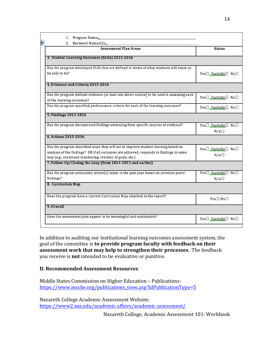| ŧ. | 1. Program Name: 1. 2008. [1] Program Name: 2008. [2] Program Name: 2008. [2] Program Mame: 2008. [2] Program Mame: 2008. [2] Program Mame: 2008. [2] Program Mame: 2008. [2] Program Mame: 2008. [2] Program Mame: 2008. [2]             |                                                     |
|----|-------------------------------------------------------------------------------------------------------------------------------------------------------------------------------------------------------------------------------------------|-----------------------------------------------------|
|    | 2. Reviewer Names(s)<br><b>Assessment Plan Areas</b>                                                                                                                                                                                      | <b>Status</b>                                       |
|    | 3. Student Learning Outcomes (SLOs) 2015-2016                                                                                                                                                                                             |                                                     |
|    |                                                                                                                                                                                                                                           |                                                     |
|    | Has the program developed SLOs that are defined in terms of what students will know or<br>be able to do?                                                                                                                                  | Yes□ Partially□ No□                                 |
|    | 4. Evidence and Criteria 2015-2016                                                                                                                                                                                                        |                                                     |
|    | Has the program defined evidence (at least one direct source) to be used in assessing each<br>of the learning outcomes?                                                                                                                   | Yes□ Partially□ No□                                 |
|    | Has the program specified performance criteria for each of the learning outcomes?                                                                                                                                                         | Yes□ Partially□ No□                                 |
|    | 5. Findings 2015-2016                                                                                                                                                                                                                     |                                                     |
|    | Has the program documented findings stemming from specific sources of evidence?                                                                                                                                                           | Yes□ Partially□ No□<br>$N/A \Box$                   |
|    | 6. Actions 2015-2016                                                                                                                                                                                                                      |                                                     |
|    | Has the program described ways they will act to improve student learning based on<br>analysis of the findings? OR if all outcomes are achieved, responds to findings in some<br>way (e.g., continued monitoring, revision of goals, etc.) | $Yes \Box$ Partially $\Box$ No $\Box$<br>$N/A \Box$ |
|    | 7. Follow-Up/Closing the Loop (from 2014-2015 and earlier)                                                                                                                                                                                |                                                     |
|    | Has the program articulated action(s) taken in the past year based on previous years'<br>findings?                                                                                                                                        | Yes□ Partially□ No□<br>$N/A \Box$                   |
|    | 8. Curriculum Map                                                                                                                                                                                                                         |                                                     |
|    | Does the program have a current Curriculum Map attached to the report?                                                                                                                                                                    | $Yes \Box No \Box$                                  |
|    | 9. Overall                                                                                                                                                                                                                                |                                                     |
|    | Does the assessment plan appear to be meaningful and sustainable?                                                                                                                                                                         | Yes□ Partially□ No□                                 |
|    |                                                                                                                                                                                                                                           |                                                     |

In addition to auditing our institutional learning outcomes assessment system, the goal of the committee is **to provide program faculty with feedback on their assessment work that may help to strengthen their processes**. The feedback you receive is **not** intended to be evaluative or punitive.

## **D. Recommended Assessment Resources**

Middle States Commission on Higher Education - Publications: https://www.msche.org/publications\_view.asp?idPublicationType=5

Nazareth College Academic Assessment Website: https://www2.naz.edu/academic-affairs/academic-assessment/